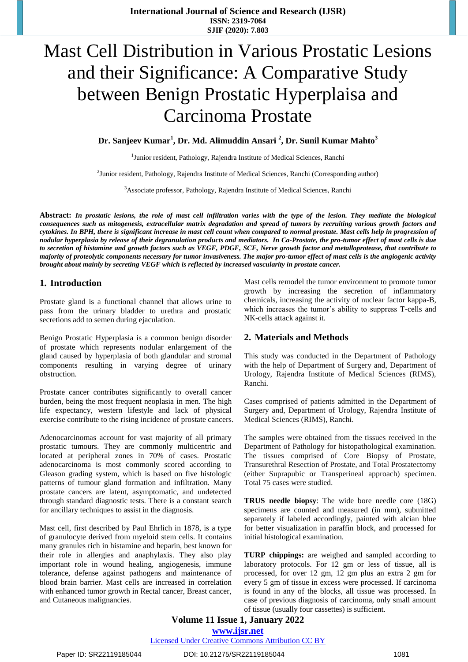# Mast Cell Distribution in Various Prostatic Lesions and their Significance: A Comparative Study between Benign Prostatic Hyperplaisa and Carcinoma Prostate

**Dr. Sanjeev Kumar<sup>1</sup> , Dr. Md. Alimuddin Ansari <sup>2</sup> , Dr. Sunil Kumar Mahto<sup>3</sup>**

<sup>1</sup>Junior resident, Pathology, Rajendra Institute of Medical Sciences, Ranchi

<sup>2</sup> Junior resident, Pathology, Rajendra Institute of Medical Sciences, Ranchi (Corresponding author)

<sup>3</sup>Associate professor, Pathology, Rajendra Institute of Medical Sciences, Ranchi

**Abstract:** *In prostatic lesions, the role of mast cell infiltration varies with the type of the lesion. They mediate the biological consequences such as mitogenesis, extracellular matrix degradation and spread of tumors by recruiting various growth factors and cytokines. In BPH, there is significant increase in mast cell count when compared to normal prostate. Mast cells help in progression of nodular hyperplasia by release of their degranulation products and mediators. In Ca-Prostate, the pro-tumor effect of mast cells is due to secretion of histamine and growth factors such as VEGF, PDGF, SCF, Nerve growth factor and metalloprotease, that contribute to majority of proteolytic components necessary for tumor invasiveness. The major pro-tumor effect of mast cells is the angiogenic activity brought about mainly by secreting VEGF which is reflected by increased vascularity in prostate cancer.*

## **1. Introduction**

Prostate gland is a functional channel that allows urine to pass from the urinary bladder to urethra and prostatic secretions add to semen during ejaculation.

Benign Prostatic Hyperplasia is a common benign disorder of prostate which represents nodular enlargement of the gland caused by hyperplasia of both glandular and stromal components resulting in varying degree of urinary obstruction.

Prostate cancer contributes significantly to overall cancer burden, being the most frequent neoplasia in men. The high life expectancy, western lifestyle and lack of physical exercise contribute to the rising incidence of prostate cancers.

Adenocarcinomas account for vast majority of all primary prostatic tumours. They are commonly multicentric and located at peripheral zones in 70% of cases. Prostatic adenocarcinoma is most commonly scored according to Gleason grading system, which is based on five histologic patterns of tumour gland formation and infiltration. Many prostate cancers are latent, asymptomatic, and undetected through standard diagnostic tests. There is a constant search for ancillary techniques to assist in the diagnosis.

Mast cell, first described by Paul Ehrlich in 1878, is a type of granulocyte derived from myeloid stem cells. It contains many granules rich in histamine and heparin, best known for their role in allergies and anaphylaxis. They also play important role in wound healing, angiogenesis, immune tolerance, defense against pathogens and maintenance of blood brain barrier. Mast cells are increased in correlation with enhanced tumor growth in Rectal cancer, Breast cancer, and Cutaneous malignancies.

Mast cells remodel the tumor environment to promote tumor growth by increasing the secretion of inflammatory chemicals, increasing the activity of nuclear factor kappa-B, which increases the tumor's ability to suppress T-cells and NK-cells attack against it.

## **2. Materials and Methods**

This study was conducted in the Department of Pathology with the help of Department of Surgery and, Department of Urology, Rajendra Institute of Medical Sciences (RIMS), Ranchi.

Cases comprised of patients admitted in the Department of Surgery and, Department of Urology, Rajendra Institute of Medical Sciences (RIMS), Ranchi.

The samples were obtained from the tissues received in the Department of Pathology for histopathological examination. The tissues comprised of Core Biopsy of Prostate, Transurethral Resection of Prostate, and Total Prostatectomy (either Suprapubic or Transperineal approach) specimen. Total 75 cases were studied.

**TRUS needle biopsy**: The wide bore needle core (18G) specimens are counted and measured (in mm), submitted separately if labeled accordingly, painted with alcian blue for better visualization in paraffin block, and processed for initial histological examination.

**TURP chippings:** are weighed and sampled according to laboratory protocols. For 12 gm or less of tissue, all is processed, for over 12 gm, 12 gm plus an extra 2 gm for every 5 gm of tissue in excess were processed. If carcinoma is found in any of the blocks, all tissue was processed. In case of previous diagnosis of carcinoma, only small amount of tissue (usually four cassettes) is sufficient.

**Volume 11 Issue 1, January 2022 www.ijsr.net** Licensed Under Creative Commons Attribution CC BY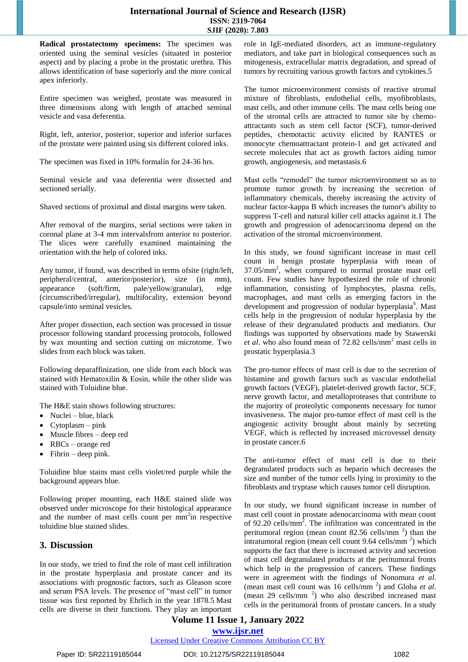#### **International Journal of Science and Research (IJSR) ISSN: 2319-7064 SJIF (2020): 7.803**

**Radical prostatectomy specimens:** The specimen was oriented using the seminal vesicles (situated in posterior aspect) and by placing a probe in the prostatic urethra. This allows identification of base superiorly and the more conical apex inferiorly.

Entire specimen was weighed, prostate was measured in three dimensions along with length of attached seminal vesicle and vasa deferentia.

Right, left, anterior, posterior, superior and inferior surfaces of the prostate were painted using six different colored inks.

The specimen was fixed in 10% formalin for 24-36 hrs.

Seminal vesicle and vasa deferentia were dissected and sectioned serially.

Shaved sections of proximal and distal margins were taken.

After removal of the margins, serial sections were taken in coronal plane at 3-4 mm intervalsfrom anterior to posterior. The slices were carefully examined maintaining the orientation with the help of colored inks.

Any tumor, if found, was described in terms ofsite (right/left, peripheral/central, anterior/posterior), size (in mm), appearance (soft/firm, pale/yellow/granular), edge (circumscribed/irregular), multifocality, extension beyond capsule/into seminal vesicles.

After proper dissection, each section was processed in tissue processor following standard processing protocols, followed by wax mounting and section cutting on microtome. Two slides from each block was taken.

Following deparaffinization, one slide from each block was stained with Hematoxilin & Eosin, while the other slide was stained with Toluidine blue.

The H&E stain shows following structures:

- $\bullet$  Nuclei blue, black
- Cytoplasm pink
- Muscle fibres deep red
- RBCs orange red
- Fibrin deep pink.

Toluidine blue stains mast cells violet/red purple while the background appears blue.

Following proper mounting, each H&E stained slide was observed under microscope for their histological appearance and the number of mast cells count per  $mm<sup>2</sup>$ in respective toluidine blue stained slides.

## **3. Discussion**

In our study, we tried to find the role of mast cell infiltration in the prostate hyperplasia and prostate cancer and its associations with prognostic factors, such as Gleason score and serum PSA levels. The presence of "mast cell" in tumor tissue was first reported by Ehrlich in the year 1878.5 Mast cells are diverse in their functions. They play an important

role in IgE-mediated disorders, act as immune-regulatory mediators, and take part in biological consequences such as mitogenesis, extracellular matrix degradation, and spread of tumors by recruiting various growth factors and cytokines.5

The tumor microenvironment consists of reactive stromal mixture of fibroblasts, endothelial cells, myofibroblasts, mast cells, and other immune cells. The mast cells being one of the stromal cells are attracted to tumor site by chemoattractants such as stem cell factor (SCF), tumor-derived peptides, chemotactic activity elicited by RANTES or monocyte chemoattractant protein-1 and get activated and secrete molecules that act as growth factors aiding tumor growth, angiogenesis, and metastasis.6

Mast cells "remodel" the tumor microenvironment so as to promote tumor growth by increasing the secretion of inflammatory chemicals, thereby increasing the activity of nuclear factor-kappa B which increases the tumor's ability to suppress T-cell and natural killer cell attacks against it.1 The growth and progression of adenocarcinoma depend on the activation of the stromal microenvironment.

In this study, we found significant increase in mast cell count in benign prostate hyperplasia with mean of 37.05/mm<sup>2</sup> , when compared to normal prostate mast cell count. Few studies have hypothesized the role of chronic inflammation, consisting of lymphocytes, plasma cells, macrophages, and mast cells as emerging factors in the development and progression of nodular hyperplasia<sup>6</sup>. Mast cells help in the progression of nodular hyperplasia by the release of their degranulated products and mediators. Our findings was supported by observations made by Stawerski *et al.* who also found mean of 72.82 cells/mm<sup>2</sup> mast cells in prostatic hyperplasia.3

The pro-tumor effects of mast cell is due to the secretion of histamine and growth factors such as vascular endothelial growth factors (VEGF), platelet-derived growth factor, SCF, nerve growth factor, and metalloproteases that contribute to the majority of proteolytic components necessary for tumor invasiveness. The major pro-tumor effect of mast cell is the angiogenic activity brought about mainly by secreting VEGF, which is reflected by increased microvessel density in prostate cancer.6

The anti-tumor effect of mast cell is due to their degranulated products such as heparin which decreases the size and number of the tumor cells lying in proximity to the fibroblasts and tryptase which causes tumor cell disruption.

In our study, we found significant increase in number of mast cell count in prostate adenocarcinoma with mean count of 92.20 cells/ $mm<sup>2</sup>$ . The infiltration was concentrated in the peritumoral region (mean count  $82.56$  cells/mm<sup>2</sup>) than the intratumoral region (mean cell count  $9.64$  cells/mm<sup>2</sup>) which supports the fact that there is increased activity and secretion of mast cell degranulated products at the peritumoral fronts which help in the progression of cancers. These findings were in agreement with the findings of Nonomura *et al*. (mean mast cell count was 16 cells/mm <sup>2</sup> ) and Globa *et al*. (mean  $29$  cells/mm<sup>2</sup>) who also described increased mast cells in the peritumoral fronts of prostate cancers. In a study

# **Volume 11 Issue 1, January 2022 www.ijsr.net**

#### Licensed Under Creative Commons Attribution CC BY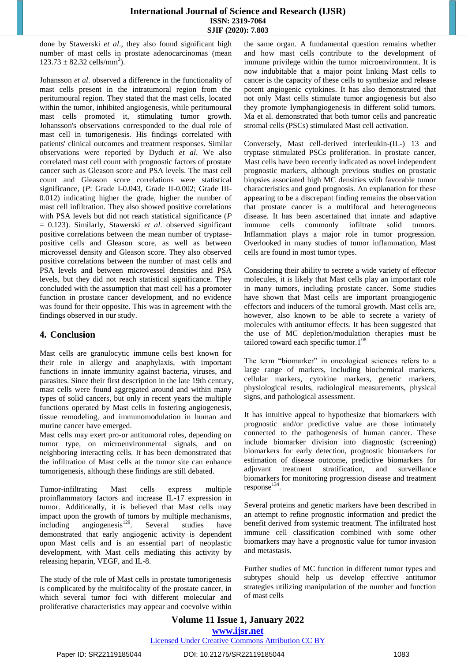## **International Journal of Science and Research (IJSR) ISSN: 2319-7064 SJIF (2020): 7.803**

done by Stawerski *et al*., they also found significant high number of mast cells in prostate adenocarcinomas (mean  $123.73 \pm 82.32$  cells/mm<sup>2</sup>).

Johansson *et al*. observed a difference in the functionality of mast cells present in the intratumoral region from the peritumoural region. They stated that the mast cells, located within the tumor, inhibited angiogenesis, while peritumoural mast cells promoted it, stimulating tumor growth. Johansson's observations corresponded to the dual role of mast cell in tumorigenesis. His findings correlated with patients' clinical outcomes and treatment responses. Similar observations were reported by Dyduch *et al*. We also correlated mast cell count with prognostic factors of prostate cancer such as Gleason score and PSA levels. The mast cell count and Gleason score correlations were statistical significance, (*P*: Grade I-0.043, Grade II-0.002; Grade III-0.012) indicating higher the grade, higher the number of mast cell infiltration. They also showed positive correlations with PSA levels but did not reach statistical significance (*P* = 0.123). Similarly, Stawerski *et al*. observed significant positive correlations between the mean number of tryptasepositive cells and Gleason score, as well as between microvessel density and Gleason score. They also observed positive correlations between the number of mast cells and PSA levels and between microvessel densities and PSA levels, but they did not reach statistical significance. They concluded with the assumption that mast cell has a promoter function in prostate cancer development, and no evidence was found for their opposite. This was in agreement with the findings observed in our study.

# **4. Conclusion**

Mast cells are granulocytic immune cells best known for their role in allergy and anaphylaxis, with important functions in innate immunity against bacteria, viruses, and parasites. Since their first description in the late 19th century, mast cells were found aggregated around and within many types of solid cancers, but only in recent years the multiple functions operated by Mast cells in fostering angiogenesis, tissue remodeling, and immunomodulation in human and murine cancer have emerged.

Mast cells may exert pro-or antitumoral roles, depending on tumor type, on microenvironmental signals, and on neighboring interacting cells. It has been demonstrated that the infiltration of Mast cells at the tumor site can enhance tumorigenesis, although these findings are still debated.

Tumor-infiltrating Mast cells express multiple proinflammatory factors and increase IL-17 expression in tumor. Additionally, it is believed that Mast cells may impact upon the growth of tumors by multiple mechanisms, including angiogenesis<sup>129</sup>. Several studies have demonstrated that early angiogenic activity is dependent upon Mast cells and is an essential part of neoplastic development, with Mast cells mediating this activity by releasing heparin, VEGF, and IL-8.

The study of the role of Mast cells in prostate tumorigenesis is complicated by the multifocality of the prostate cancer, in which several tumor foci with different molecular and proliferative characteristics may appear and coevolve within the same organ. A fundamental question remains whether and how mast cells contribute to the development of immune privilege within the tumor microenvironment. It is now indubitable that a major point linking Mast cells to cancer is the capacity of these cells to synthesize and release potent angiogenic cytokines. It has also demonstrated that not only Mast cells stimulate tumor angiogenesis but also they promote lymphangiogenesis in different solid tumors. Ma et al. demonstrated that both tumor cells and pancreatic stromal cells (PSCs) stimulated Mast cell activation.

Conversely, Mast cell-derived interleukin-(IL-) 13 and tryptase stimulated PSCs proliferation. In prostate cancer, Mast cells have been recently indicated as novel independent prognostic markers, although previous studies on prostatic biopsies associated high MC densities with favorable tumor characteristics and good prognosis. An explanation for these appearing to be a discrepant finding remains the observation that prostate cancer is a multifocal and heterogeneous disease. It has been ascertained that innate and adaptive immune cells commonly infiltrate solid tumors. Inflammation plays a major role in tumor progression. Overlooked in many studies of tumor inflammation, Mast cells are found in most tumor types.

Considering their ability to secrete a wide variety of effector molecules, it is likely that Mast cells play an important role in many tumors, including prostate cancer. Some studies have shown that Mast cells are important proangiogenic effectors and inducers of the tumoral growth. Mast cells are, however, also known to be able to secrete a variety of molecules with antitumor effects. It has been suggested that the use of MC depletion/modulation therapies must be tailored toward each specific tumor. $1^{08}$ .

The term "biomarker" in oncological sciences refers to a large range of markers, including biochemical markers, cellular markers, cytokine markers, genetic markers, physiological results, radiological measurements, physical signs, and pathological assessment.

It has intuitive appeal to hypothesize that biomarkers with prognostic and/or predictive value are those intimately connected to the pathogenesis of human cancer. These include biomarker division into diagnostic (screening) biomarkers for early detection, prognostic biomarkers for estimation of disease outcome, predictive biomarkers for adjuvant treatment stratification, and surveillance biomarkers for monitoring progression disease and treatment  $response<sup>134</sup>$ .

Several proteins and genetic markers have been described in an attempt to refine prognostic information and predict the benefit derived from systemic treatment. The infiltrated host immune cell classification combined with some other biomarkers may have a prognostic value for tumor invasion and metastasis.

Further studies of MC function in different tumor types and subtypes should help us develop effective antitumor strategies utilizing manipulation of the number and function of mast cells

**Volume 11 Issue 1, January 2022 www.ijsr.net** Licensed Under Creative Commons Attribution CC BY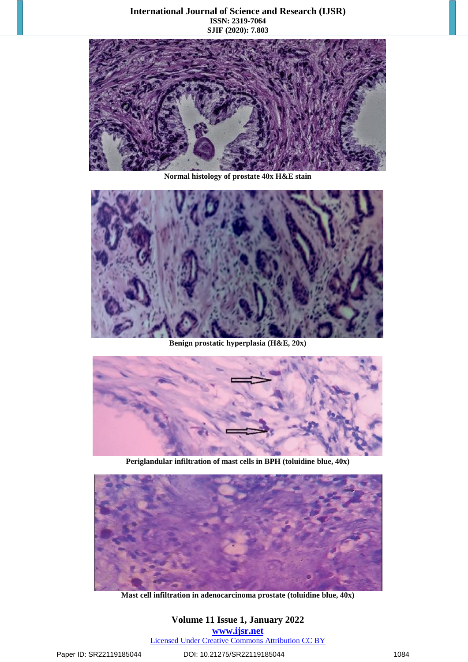### **International Journal of Science and Research (IJSR) ISSN: 2319-7064 SJIF (2020): 7.803**



**Normal histology of prostate 40x H&E stain**



**Benign prostatic hyperplasia (H&E, 20x)**



**Periglandular infiltration of mast cells in BPH (toluidine blue, 40x)**



**Mast cell infiltration in adenocarcinoma prostate (toluidine blue, 40x)**

# **Volume 11 Issue 1, January 2022 www.ijsr.net** Licensed Under Creative Commons Attribution CC BY